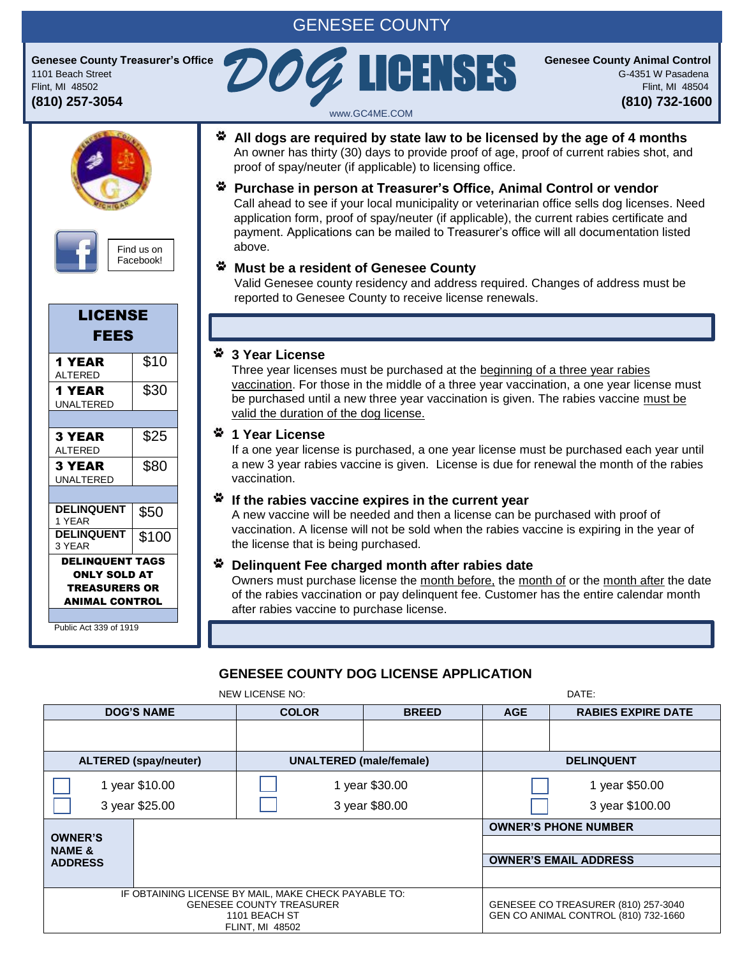# GENESEE COUNTY

www.GC4ME.COM

**Genesee County Treasurer's Office County Animal Control** 1101 Beach Street G-4351 W Pasadena Flint, MI 48502 **Flint, MI 48504** Genesee County Treasurer's Office<br>
1101 Beach Street<br>
(810) 257-3054<br> **COG COG COG COG COUNTY Animal Control**<br>
Flint, MI 48502<br>
(810) 732-1600

Find us on Facebook!

| LICENSE<br><b>FEES</b>                                                                         |       |
|------------------------------------------------------------------------------------------------|-------|
| 1 YEAR<br><b>ALTERED</b>                                                                       | \$10  |
| <b>1 YEAR</b><br>UNALTERED                                                                     | \$30  |
|                                                                                                |       |
| 3 YEAR<br><b>ALTERED</b>                                                                       | \$25  |
| <b>3 YEAR</b><br>UNAI TERED                                                                    | \$80  |
|                                                                                                |       |
| <b>DELINQUENT</b><br>1 YEAR                                                                    | \$50  |
| <b>DELINQUENT</b><br>3 YFAR                                                                    | \$100 |
| <b>DELINQUENT TAGS</b><br><b>ONLY SOLD AT</b><br><b>TREASURERS OR</b><br><b>ANIMAL CONTROL</b> |       |

Public Act 339 of 1919,

**All dogs are required by state law to be licensed by the age of 4 months** An owner has thirty (30) days to provide proof of age, proof of current rabies shot, and proof of spay/neuter (if applicable) to licensing office.

LICENSES

**Purchase in person at Treasurer's Office, Animal Control or vendor** Call ahead to see if your local municipality or veterinarian office sells dog licenses. Need application form, proof of spay/neuter (if applicable), the current rabies certificate and payment. Applications can be mailed to Treasurer's office will all documentation listed above.

### **Must be a resident of Genesee County**

Valid Genesee county residency and address required. Changes of address must be reported to Genesee County to receive license renewals.

# **3 Year License**

Three year licenses must be purchased at the beginning of a three year rabies vaccination. For those in the middle of a three year vaccination, a one year license must be purchased until a new three year vaccination is given. The rabies vaccine must be valid the duration of the dog license.

### **1 Year License**

If a one year license is purchased, a one year license must be purchased each year until a new 3 year rabies vaccine is given. License is due for renewal the month of the rabies vaccination.

#### **If the rabies vaccine expires in the current year**

A new vaccine will be needed and then a license can be purchased with proof of vaccination. A license will not be sold when the rabies vaccine is expiring in the year of the license that is being purchased.

# **Delinquent Fee charged month after rabies date**

Owners must purchase license the month before, the month of or the month after the date of the rabies vaccination or pay delinquent fee. Customer has the entire calendar month after rabies vaccine to purchase license.

# **GENESEE COUNTY DOG LICENSE APPLICATION**

**DOG'S NAME COLOR BREED AGE RABIES EXPIRE DATE ALTERED (spay/neuter) UNALTERED (male/female) DELINQUENT** 1 year \$10.00 3 year \$25.00 i<br>I 1 year \$30.00 3 year \$80.00 1 year \$50.00 3 year \$100.00 **OWNER'S NAME & ADDRESS OWNER'S PHONE NUMBER OWNER'S EMAIL ADDRESS** IF OBTAINING LICENSE BY MAIL, MAKE CHECK PAYABLE TO: GENESEE COUNTY TREASURER 1101 BEACH ST FLINT, MI 48502 GENESEE CO TREASURER (810) 257-3040 GEN CO ANIMAL CONTROL (810) 732-1660 NEW LICENSE NO: **DATE:** DATE: